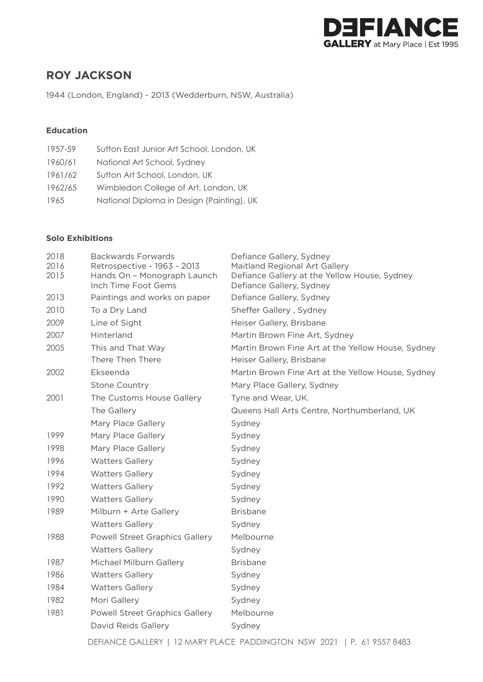

# **ROY JACKSON**

1944 (London, England) - 2013 (Wedderburn, NSW, Australia)

### **Education**

| 1957-59 | Sutton East Junior Art School, London, UK |
|---------|-------------------------------------------|
| 1960/61 | National Art School, Sydney               |
| 1961/62 | Sutton Art School, London, UK             |
| 1962/65 | Wimbledon College of Art, London, UK      |
| 1965    | National Diploma in Design (Painting), UK |

### **Solo Exhibitions**

| 2018<br>2016<br>2015 | Backwards Forwards<br>Retrospective - 1963 - 2013<br>Hands On - Monograph Launch<br>Inch Time Foot Gems | Defiance Gallery, Sydney<br>Maitland Regional Art Gallery<br>Defiance Gallery at the Yellow House, Sydney<br>Defiance Gallery, Sydney |
|----------------------|---------------------------------------------------------------------------------------------------------|---------------------------------------------------------------------------------------------------------------------------------------|
| 2013                 | Paintings and works on paper                                                                            | Defiance Gallery, Sydney                                                                                                              |
| 2010                 | To a Dry Land                                                                                           | Sheffer Gallery, Sydney                                                                                                               |
| 2009                 | Line of Sight                                                                                           | Heiser Gallery, Brisbane                                                                                                              |
| 2007                 | Hinterland                                                                                              | Martin Brown Fine Art, Sydney                                                                                                         |
| 2005                 | This and That Way<br>There Then There                                                                   | Martin Brown Fine Art at the Yellow House, Sydney<br>Heiser Gallery, Brisbane                                                         |
| 2002                 | Ekseenda                                                                                                | Martin Brown Fine Art at the Yellow House, Sydney                                                                                     |
|                      | <b>Stone Country</b>                                                                                    | Mary Place Gallery, Sydney                                                                                                            |
| 2001                 | The Customs House Gallery                                                                               | Tyne and Wear, UK.                                                                                                                    |
|                      | The Gallery                                                                                             | Queens Hall Arts Centre, Northumberland, UK                                                                                           |
|                      | Mary Place Gallery                                                                                      | Sydney                                                                                                                                |
| 1999                 | Mary Place Gallery                                                                                      | Sydney                                                                                                                                |
| 1998                 | Mary Place Gallery                                                                                      | Sydney                                                                                                                                |
| 1996                 | <b>Watters Gallery</b>                                                                                  | Sydney                                                                                                                                |
| 1994                 | <b>Watters Gallery</b>                                                                                  | Sydney                                                                                                                                |
| 1992                 | <b>Watters Gallery</b>                                                                                  | Sydney                                                                                                                                |
| 1990                 | <b>Watters Gallery</b>                                                                                  | Sydney                                                                                                                                |
| 1989                 | Milburn + Arte Gallery                                                                                  | <b>Brisbane</b>                                                                                                                       |
|                      | <b>Watters Gallery</b>                                                                                  | Sydney                                                                                                                                |
| 1988                 | Powell Street Graphics Gallery                                                                          | Melbourne                                                                                                                             |
|                      | <b>Watters Gallery</b>                                                                                  | Sydney                                                                                                                                |
| 1987                 | Michael Milburn Gallery                                                                                 | <b>Brisbane</b>                                                                                                                       |
| 1986                 | <b>Watters Gallery</b>                                                                                  | Sydney                                                                                                                                |
| 1984                 | <b>Watters Gallery</b>                                                                                  | Sydney                                                                                                                                |
| 1982                 | Mori Gallery                                                                                            | Sydney                                                                                                                                |
| 1981                 | <b>Powell Street Graphics Gallery</b>                                                                   | Melbourne                                                                                                                             |
|                      | David Reids Gallery                                                                                     | Sydney                                                                                                                                |
|                      |                                                                                                         |                                                                                                                                       |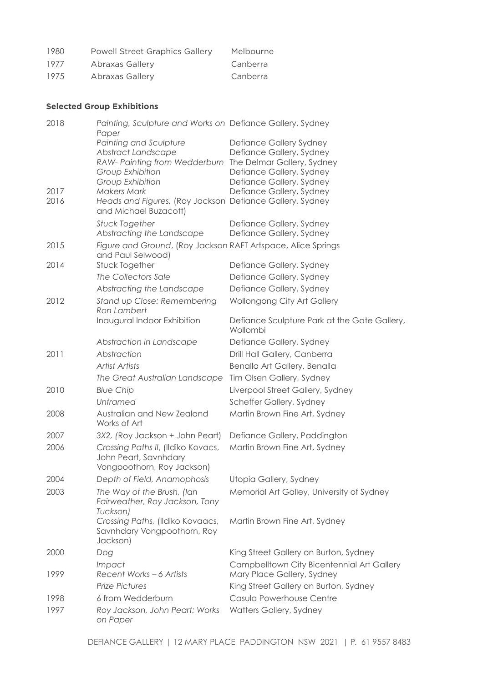| 1980 | <b>Powell Street Graphics Gallery</b> | Melbourne |
|------|---------------------------------------|-----------|
| 1977 | Abraxas Gallery                       | Canberra  |
| 1975 | Abraxas Gallery                       | Canberra  |

## **Selected Group Exhibitions**

| 2018 | Painting, Sculpture and Works on Defiance Gallery, Sydney<br>Paper                        |                                                          |
|------|-------------------------------------------------------------------------------------------|----------------------------------------------------------|
|      | Painting and Sculpture                                                                    | Defiance Gallery Sydney                                  |
|      | Abstract Landscape                                                                        | Defiance Gallery, Sydney                                 |
|      | RAW- Painting from Wedderburn                                                             | The Delmar Gallery, Sydney                               |
|      | Group Exhibition                                                                          | Defiance Gallery, Sydney                                 |
|      | Group Exhibition                                                                          | Defiance Gallery, Sydney                                 |
| 2017 | <b>Makers Mark</b>                                                                        | Defiance Gallery, Sydney                                 |
| 2016 | Heads and Figures, (Roy Jackson Defiance Gallery, Sydney<br>and Michael Buzacott)         |                                                          |
|      | <b>Stuck Together</b><br>Abstracting the Landscape                                        | Defiance Gallery, Sydney<br>Defiance Gallery, Sydney     |
| 2015 | Figure and Ground, (Roy Jackson RAFT Artspace, Alice Springs<br>and Paul Selwood)         |                                                          |
| 2014 | Stuck Together                                                                            | Defiance Gallery, Sydney                                 |
|      | The Collectors Sale                                                                       | Defiance Gallery, Sydney                                 |
|      | Abstracting the Landscape                                                                 | Defiance Gallery, Sydney                                 |
| 2012 | Stand up Close: Remembering<br>Ron Lambert                                                | Wollongong City Art Gallery                              |
|      | Inaugural Indoor Exhibition                                                               | Defiance Sculpture Park at the Gate Gallery,<br>Wollombi |
|      | Abstraction in Landscape                                                                  | Defiance Gallery, Sydney                                 |
| 2011 | Abstraction                                                                               | Drill Hall Gallery, Canberra                             |
|      | Artist Artists                                                                            | Benalla Art Gallery, Benalla                             |
|      | The Great Australian Landscape                                                            | Tim Olsen Gallery, Sydney                                |
| 2010 | <b>Blue Chip</b>                                                                          | Liverpool Street Gallery, Sydney                         |
|      | <b>Unframed</b>                                                                           | Scheffer Gallery, Sydney                                 |
| 2008 | Australian and New Zealand<br>Works of Art                                                | Martin Brown Fine Art, Sydney                            |
| 2007 | 3X2, (Roy Jackson + John Peart)                                                           | Defiance Gallery, Paddington                             |
| 2006 | Crossing Paths II, (Ildiko Kovacs,<br>John Peart, Savnhdary<br>Vongpoothorn, Roy Jackson) | Martin Brown Fine Art, Sydney                            |
| 2004 | Depth of Field, Anamophosis                                                               | Utopia Gallery, Sydney                                   |
| 2003 | The Way of the Brush, (lan<br>Fairweather, Roy Jackson, Tony<br>Tuckson)                  | Memorial Art Galley, University of Sydney                |
|      | Crossing Paths, (Ildiko Kovaacs,<br>Savnhdary Vongpoothorn, Roy<br>Jackson)               | Martin Brown Fine Art, Sydney                            |
| 2000 | Dog                                                                                       | King Street Gallery on Burton, Sydney                    |
|      | <i>Impact</i>                                                                             | Campbelltown City Bicentennial Art Gallery               |
| 1999 | Recent Works - 6 Artists                                                                  | Mary Place Gallery, Sydney                               |
|      | <b>Prize Pictures</b>                                                                     | King Street Gallery on Burton, Sydney                    |
| 1998 | 6 from Wedderburn                                                                         | Casula Powerhouse Centre                                 |
| 1997 | Roy Jackson, John Peart: Works<br>on Paper                                                | Watters Gallery, Sydney                                  |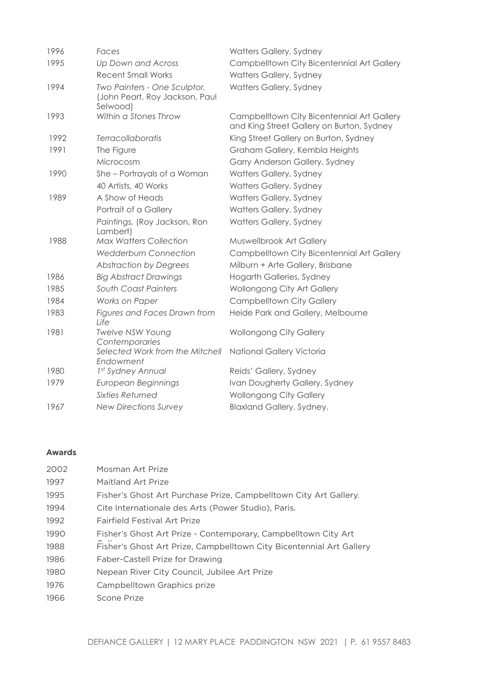| 1996 | Faces                                                                      | Watters Gallery, Sydney                                                                 |
|------|----------------------------------------------------------------------------|-----------------------------------------------------------------------------------------|
| 1995 | Up Down and Across                                                         | Campbelltown City Bicentennial Art Gallery                                              |
|      | <b>Recent Small Works</b>                                                  | Watters Gallery, Sydney                                                                 |
| 1994 | Two Painters - One Sculptor,<br>(John Peart, Roy Jackson, Paul<br>Selwood) | Watters Gallery, Sydney                                                                 |
| 1993 | Within a Stones Throw                                                      | Campbelltown City Bicentennial Art Gallery<br>and King Street Gallery on Burton, Sydney |
| 1992 | Terracollaboratis                                                          | King Street Gallery on Burton, Sydney                                                   |
| 1991 | The Figure                                                                 | Graham Gallery, Kembla Heights                                                          |
|      | Microcosm                                                                  | Garry Anderson Gallery, Sydney                                                          |
| 1990 | She-Portrayals of a Woman                                                  | Watters Gallery, Sydney                                                                 |
|      | 40 Artists, 40 Works                                                       | Watters Gallery, Sydney                                                                 |
| 1989 | A Show of Heads                                                            | Watters Gallery, Sydney                                                                 |
|      | Portrait of a Gallery                                                      | Watters Gallery, Sydney                                                                 |
|      | Paintings, (Roy Jackson, Ron<br>Lambert)                                   | Watters Gallery, Sydney                                                                 |
| 1988 | <b>Max Watters Collection</b>                                              | Muswellbrook Art Gallery                                                                |
|      | <b>Wedderburn Connection</b>                                               | Campbelltown City Bicentennial Art Gallery                                              |
|      | <b>Abstraction by Degrees</b>                                              | Milburn + Arte Gallery, Brisbane                                                        |
| 1986 | <b>Big Abstract Drawings</b>                                               | Hogarth Galleries, Sydney                                                               |
| 1985 | South Coast Painters                                                       | Wollongong City Art Gallery                                                             |
| 1984 | Works on Paper                                                             | <b>Campbelltown City Gallery</b>                                                        |
| 1983 | Figures and Faces Drawn from<br>Life                                       | Heide Park and Gallery, Melbourne                                                       |
| 1981 | <b>Twelve NSW Young</b><br>Contemporaries                                  | <b>Wollongong City Gallery</b>                                                          |
|      | Selected Work from the Mitchell<br>Endowment                               | National Gallery Victoria                                                               |
| 1980 | 1st Sydney Annual                                                          | Reids' Gallery, Sydney                                                                  |
| 1979 | European Beginnings                                                        | Ivan Dougherty Gallery, Sydney                                                          |
|      | <b>Sixties Returned</b>                                                    | <b>Wollongong City Gallery</b>                                                          |
| 1967 | <b>New Directions Survey</b>                                               | Blaxland Gallery, Sydney.                                                               |

### **Awards**

| 2002 | Mosman Art Prize                                                     |
|------|----------------------------------------------------------------------|
| 1997 | Maitland Art Prize                                                   |
| 1995 | Fisher's Ghost Art Purchase Prize, Campbelltown City Art Gallery.    |
| 1994 | Cite Internationale des Arts (Power Studio), Paris.                  |
| 1992 | Fairfield Festival Art Prize                                         |
| 1990 | Fisher's Ghost Art Prize - Contemporary, Campbelltown City Art       |
| 1988 | Fisher's Ghost Art Prize, Campbelltown City Bicentennial Art Gallery |
| 1986 | Faber-Castell Prize for Drawing                                      |
| 1980 | Nepean River City Council, Jubilee Art Prize                         |
| 1976 | Campbelltown Graphics prize                                          |
| 1966 | Scone Prize                                                          |